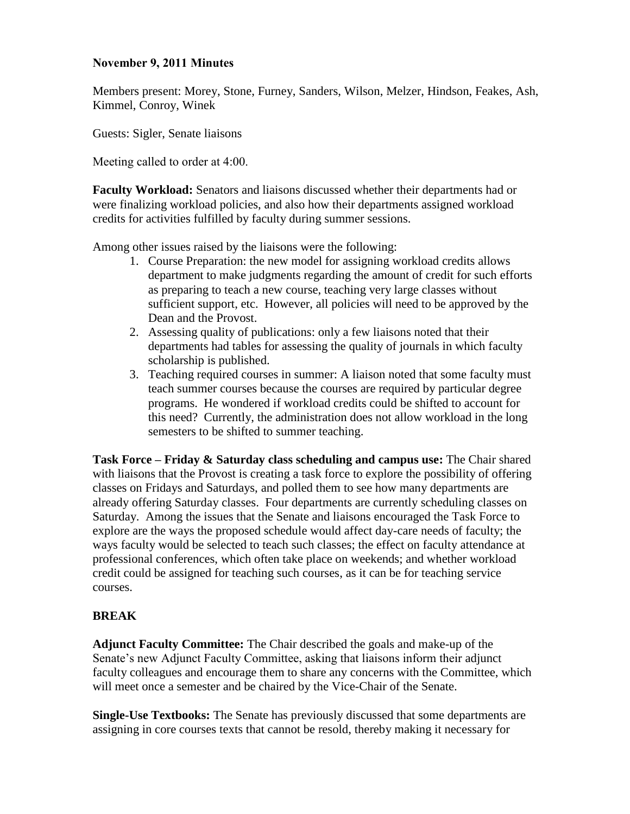## **November 9, 2011 Minutes**

Members present: Morey, Stone, Furney, Sanders, Wilson, Melzer, Hindson, Feakes, Ash, Kimmel, Conroy, Winek

Guests: Sigler, Senate liaisons

Meeting called to order at 4:00.

**Faculty Workload:** Senators and liaisons discussed whether their departments had or were finalizing workload policies, and also how their departments assigned workload credits for activities fulfilled by faculty during summer sessions.

Among other issues raised by the liaisons were the following:

- 1. Course Preparation: the new model for assigning workload credits allows department to make judgments regarding the amount of credit for such efforts as preparing to teach a new course, teaching very large classes without sufficient support, etc. However, all policies will need to be approved by the Dean and the Provost.
- 2. Assessing quality of publications: only a few liaisons noted that their departments had tables for assessing the quality of journals in which faculty scholarship is published.
- 3. Teaching required courses in summer: A liaison noted that some faculty must teach summer courses because the courses are required by particular degree programs. He wondered if workload credits could be shifted to account for this need? Currently, the administration does not allow workload in the long semesters to be shifted to summer teaching.

**Task Force – Friday & Saturday class scheduling and campus use:** The Chair shared with liaisons that the Provost is creating a task force to explore the possibility of offering classes on Fridays and Saturdays, and polled them to see how many departments are already offering Saturday classes. Four departments are currently scheduling classes on Saturday. Among the issues that the Senate and liaisons encouraged the Task Force to explore are the ways the proposed schedule would affect day-care needs of faculty; the ways faculty would be selected to teach such classes; the effect on faculty attendance at professional conferences, which often take place on weekends; and whether workload credit could be assigned for teaching such courses, as it can be for teaching service courses.

# **BREAK**

**Adjunct Faculty Committee:** The Chair described the goals and make-up of the Senate's new Adjunct Faculty Committee, asking that liaisons inform their adjunct faculty colleagues and encourage them to share any concerns with the Committee, which will meet once a semester and be chaired by the Vice-Chair of the Senate.

**Single-Use Textbooks:** The Senate has previously discussed that some departments are assigning in core courses texts that cannot be resold, thereby making it necessary for